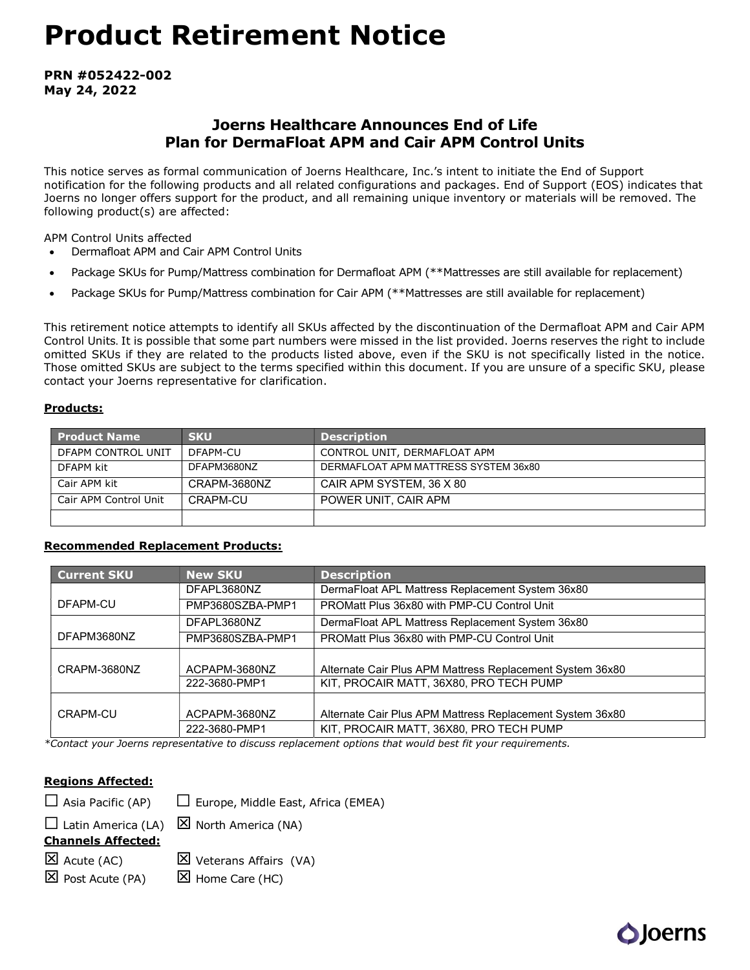# Product Retirement Notice

PRN #052422-002 May 24, 2022

# Joerns Healthcare Announces End of Life Plan for DermaFloat APM and Cair APM Control Units

This notice serves as formal communication of Joerns Healthcare, Inc.'s intent to initiate the End of Support notification for the following products and all related configurations and packages. End of Support (EOS) indicates that Joerns no longer offers support for the product, and all remaining unique inventory or materials will be removed. The following product(s) are affected:

APM Control Units affected

- Dermafloat APM and Cair APM Control Units
- Package SKUs for Pump/Mattress combination for Dermafloat APM (\*\*Mattresses are still available for replacement)
- Package SKUs for Pump/Mattress combination for Cair APM (\*\*Mattresses are still available for replacement)

This retirement notice attempts to identify all SKUs affected by the discontinuation of the Dermafloat APM and Cair APM Control Units. It is possible that some part numbers were missed in the list provided. Joerns reserves the right to include omitted SKUs if they are related to the products listed above, even if the SKU is not specifically listed in the notice. Those omitted SKUs are subject to the terms specified within this document. If you are unsure of a specific SKU, please contact your Joerns representative for clarification.

## Products:

| <b>Product Name</b>   | <b>SKU</b>   | <b>Description</b>                   |
|-----------------------|--------------|--------------------------------------|
| DFAPM CONTROL UNIT    | DFAPM-CU     | CONTROL UNIT, DERMAFLOAT APM         |
| DFAPM kit             | DFAPM3680NZ  | DERMAFLOAT APM MATTRESS SYSTEM 36x80 |
| Cair APM kit          | CRAPM-3680NZ | CAIR APM SYSTEM, 36 X 80             |
| Cair APM Control Unit | CRAPM-CU     | POWER UNIT, CAIR APM                 |
|                       |              |                                      |

## Recommended Replacement Products:

| <b>Current SKU</b> | <b>New SKU</b>   | <b>Description</b>                                        |  |  |  |
|--------------------|------------------|-----------------------------------------------------------|--|--|--|
|                    | DFAPL3680NZ      | DermaFloat APL Mattress Replacement System 36x80          |  |  |  |
| DFAPM-CU           | PMP3680SZBA-PMP1 | PROMatt Plus 36x80 with PMP-CU Control Unit               |  |  |  |
|                    | DFAPL3680NZ      | DermaFloat APL Mattress Replacement System 36x80          |  |  |  |
| DFAPM3680NZ        | PMP3680SZBA-PMP1 | PROMatt Plus 36x80 with PMP-CU Control Unit               |  |  |  |
| CRAPM-3680NZ       | ACPAPM-3680NZ    | Alternate Cair Plus APM Mattress Replacement System 36x80 |  |  |  |
|                    | 222-3680-PMP1    | KIT, PROCAIR MATT, 36X80, PRO TECH PUMP                   |  |  |  |
|                    |                  |                                                           |  |  |  |
| CRAPM-CU           | ACPAPM-3680NZ    | Alternate Cair Plus APM Mattress Replacement System 36x80 |  |  |  |
|                    | 222-3680-PMP1    | KIT, PROCAIR MATT, 36X80, PRO TECH PUMP                   |  |  |  |

\*Contact your Joerns representative to discuss replacement options that would best fit your requirements.

## Regions Affected:

 $\Box$  Asia Pacific (AP)  $\Box$  Europe, Middle East, Africa (EMEA)

 $\Box$  Latin America (LA)  $\boxtimes$  North America (NA)

Channels Affected:

 $\boxtimes$  Acute (AC)  $\boxtimes$  Veterans Affairs (VA)

 $\boxtimes$  Post Acute (PA)  $\boxtimes$  Home Care (HC)

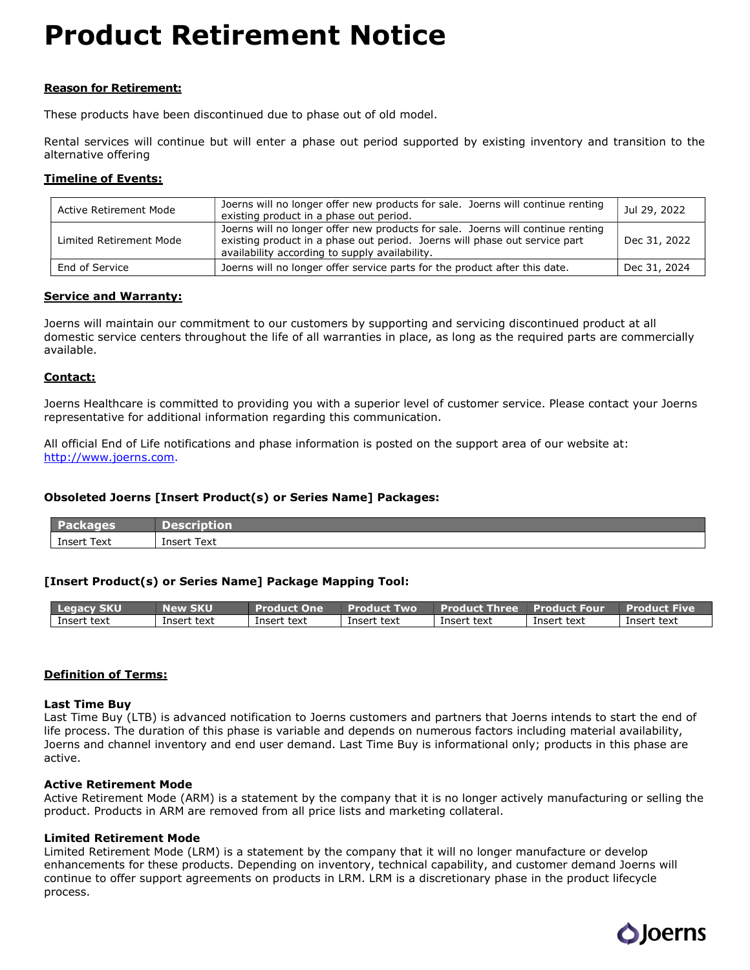# Product Retirement Notice

### Reason for Retirement:

These products have been discontinued due to phase out of old model.

Rental services will continue but will enter a phase out period supported by existing inventory and transition to the alternative offering

#### Timeline of Events:

| Active Retirement Mode  | Joerns will no longer offer new products for sale. Joerns will continue renting<br>existing product in a phase out period.                                                                                      | Jul 29, 2022 |
|-------------------------|-----------------------------------------------------------------------------------------------------------------------------------------------------------------------------------------------------------------|--------------|
| Limited Retirement Mode | Joerns will no longer offer new products for sale. Joerns will continue renting<br>existing product in a phase out period. Joerns will phase out service part<br>availability according to supply availability. | Dec 31, 2022 |
| End of Service          | Joerns will no longer offer service parts for the product after this date.                                                                                                                                      | Dec 31, 2024 |

#### Service and Warranty:

Joerns will maintain our commitment to our customers by supporting and servicing discontinued product at all domestic service centers throughout the life of all warranties in place, as long as the required parts are commercially available.

#### Contact:

Joerns Healthcare is committed to providing you with a superior level of customer service. Please contact your Joerns representative for additional information regarding this communication.

All official End of Life notifications and phase information is posted on the support area of our website at: http://www.joerns.com.

#### Obsoleted Joerns [Insert Product(s) or Series Name] Packages:

| ------<br>___             | ____<br>______<br>____<br>____   |
|---------------------------|----------------------------------|
| Text<br><b>nsert</b><br>. | __<br>-<br>___<br>Text<br>Insert |

#### [Insert Product(s) or Series Name] Package Mapping Tool:

| <b>Legacy SKU</b> | -1117          | <b>One</b><br>'Product. | <b>Product</b><br><b>TWO</b> | <b>Product Three</b> | '   Product Four. | <i>a</i> Produ<br>ict Five |
|-------------------|----------------|-------------------------|------------------------------|----------------------|-------------------|----------------------------|
| Insert<br>text    | text<br>Insert | Insert text             | text<br>Insert               | : text<br>Insert     | Insert text       | Insert text                |

#### Definition of Terms:

#### Last Time Buy

Last Time Buy (LTB) is advanced notification to Joerns customers and partners that Joerns intends to start the end of life process. The duration of this phase is variable and depends on numerous factors including material availability, Joerns and channel inventory and end user demand. Last Time Buy is informational only; products in this phase are active.

#### Active Retirement Mode

Active Retirement Mode (ARM) is a statement by the company that it is no longer actively manufacturing or selling the product. Products in ARM are removed from all price lists and marketing collateral.

#### Limited Retirement Mode

Limited Retirement Mode (LRM) is a statement by the company that it will no longer manufacture or develop enhancements for these products. Depending on inventory, technical capability, and customer demand Joerns will continue to offer support agreements on products in LRM. LRM is a discretionary phase in the product lifecycle process.